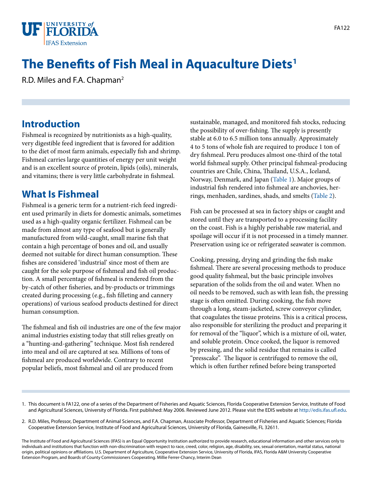

# **The Benefits of Fish Meal in Aquaculture Diets1**

R.D. Miles and F.A. Chapman2

### **Introduction**

Fishmeal is recognized by nutritionists as a high-quality, very digestible feed ingredient that is favored for addition to the diet of most farm animals, especially fish and shrimp. Fishmeal carries large quantities of energy per unit weight and is an excellent source of protein, lipids (oils), minerals, and vitamins; there is very little carbohydrate in fishmeal.

### **What Is Fishmeal**

Fishmeal is a generic term for a nutrient-rich feed ingredient used primarily in diets for domestic animals, sometimes used as a high-quality organic fertilizer. Fishmeal can be made from almost any type of seafood but is generally manufactured from wild-caught, small marine fish that contain a high percentage of bones and oil, and usually deemed not suitable for direct human consumption. These fishes are considered 'industrial' since most of them are caught for the sole purpose of fishmeal and fish oil production. A small percentage of fishmeal is rendered from the by-catch of other fisheries, and by-products or trimmings created during processing (e.g., fish filleting and cannery operations) of various seafood products destined for direct human consumption.

The fishmeal and fish oil industries are one of the few major animal industries existing today that still relies greatly on a "hunting-and-gathering" technique. Most fish rendered into meal and oil are captured at sea. Millions of tons of fishmeal are produced worldwide. Contrary to recent popular beliefs, most fishmeal and oil are produced from

sustainable, managed, and monitored fish stocks, reducing the possibility of over-fishing. The supply is presently stable at 6.0 to 6.5 million tons annually. Approximately 4 to 5 tons of whole fish are required to produce 1 ton of dry fishmeal. Peru produces almost one-third of the total world fishmeal supply. Other principal fishmeal-producing countries are Chile, China, Thailand, U.S.A., Iceland, Norway, Denmark, and Japan [\(Table 1\)](TABLE_1_DOCUMENT_FA122). Major groups of industrial fish rendered into fishmeal are anchovies, herrings, menhaden, sardines, shads, and smelts ([Table 2](TABLE_2_DOCUMENT_FA122)).

Fish can be processed at sea in factory ships or caught and stored until they are transported to a processing facility on the coast. Fish is a highly perishable raw material, and spoilage will occur if it is not processed in a timely manner. Preservation using ice or refrigerated seawater is common.

Cooking, pressing, drying and grinding the fish make fishmeal. There are several processing methods to produce good quality fishmeal, but the basic principle involves separation of the solids from the oil and water. When no oil needs to be removed, such as with lean fish, the pressing stage is often omitted. During cooking, the fish move through a long, steam-jacketed, screw conveyor cylinder, that coagulates the tissue proteins. This is a critical process, also responsible for sterilizing the product and preparing it for removal of the "liquor", which is a mixture of oil, water, and soluble protein. Once cooked, the liquor is removed by pressing, and the solid residue that remains is called "presscake". The liquor is centrifuged to remove the oil, which is often further refined before being transported

1. This document is FA122, one of a series of the Department of Fisheries and Aquatic Sciences, Florida Cooperative Extension Service, Institute of Food and Agricultural Sciences, University of Florida. First published: May 2006. Reviewed June 2012. Please visit the EDIS website at [http://edis.ifas.ufl.edu.](http://edis.ifas.ufl.edu)

2. R.D. Miles, Professor, Department of Animal Sciences, and F.A. Chapman, Associate Professor, Department of Fisheries and Aquatic Sciences; Florida Cooperative Extension Service, Institute of Food and Agricultural Sciences, University of Florida, Gainesville, FL 32611.

The Institute of Food and Agricultural Sciences (IFAS) is an Equal Opportunity Institution authorized to provide research, educational information and other services only to individuals and institutions that function with non-discrimination with respect to race, creed, color, religion, age, disability, sex, sexual orientation, marital status, national origin, political opinions or affiliations. U.S. Department of Agriculture, Cooperative Extension Service, University of Florida, IFAS, Florida A&M University Cooperative Extension Program, and Boards of County Commissioners Cooperating. Millie Ferrer-Chancy, Interim Dean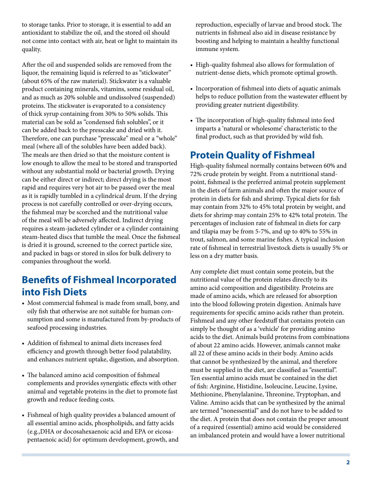to storage tanks. Prior to storage, it is essential to add an antioxidant to stabilize the oil, and the stored oil should not come into contact with air, heat or light to maintain its quality.

After the oil and suspended solids are removed from the liquor, the remaining liquid is referred to as "stickwater" (about 65% of the raw material). Stickwater is a valuable product containing minerals, vitamins, some residual oil, and as much as 20% soluble and undissolved (suspended) proteins. The stickwater is evaporated to a consistency of thick syrup containing from 30% to 50% solids. This material can be sold as "condensed fish solubles", or it can be added back to the presscake and dried with it. Therefore, one can purchase "presscake" meal or a "whole" meal (where all of the solubles have been added back). The meals are then dried so that the moisture content is low enough to allow the meal to be stored and transported without any substantial mold or bacterial growth. Drying can be either direct or indirect; direct drying is the most rapid and requires very hot air to be passed over the meal as it is rapidly tumbled in a cylindrical drum. If the drying process is not carefully controlled or over-drying occurs, the fishmeal may be scorched and the nutritional value of the meal will be adversely affected. Indirect drying requires a steam-jacketed cylinder or a cylinder containing steam-heated discs that tumble the meal. Once the fishmeal is dried it is ground, screened to the correct particle size, and packed in bags or stored in silos for bulk delivery to companies throughout the world.

### **Benefits of Fishmeal Incorporated into Fish Diets**

- Most commercial fishmeal is made from small, bony, and oily fish that otherwise are not suitable for human consumption and some is manufactured from by-products of seafood processing industries.
- Addition of fishmeal to animal diets increases feed efficiency and growth through better food palatability, and enhances nutrient uptake, digestion, and absorption.
- The balanced amino acid composition of fishmeal complements and provides synergistic effects with other animal and vegetable proteins in the diet to promote fast growth and reduce feeding costs.
- • Fishmeal of high quality provides a balanced amount of all essential amino acids, phospholipids, and fatty acids (e.g.,DHA or docosahexaenoic acid and EPA or eicosapentaenoic acid) for optimum development, growth, and

reproduction, especially of larvae and brood stock. The nutrients in fishmeal also aid in disease resistance by boosting and helping to maintain a healthy functional immune system.

- High-quality fishmeal also allows for formulation of nutrient-dense diets, which promote optimal growth.
- • Incorporation of fishmeal into diets of aquatic animals helps to reduce pollution from the wastewater effluent by providing greater nutrient digestibility.
- The incorporation of high-quality fishmeal into feed imparts a 'natural or wholesome' characteristic to the final product, such as that provided by wild fish.

## **Protein Quality of Fishmeal**

High-quality fishmeal normally contains between 60% and 72% crude protein by weight. From a nutritional standpoint, fishmeal is the preferred animal protein supplement in the diets of farm animals and often the major source of protein in diets for fish and shrimp. Typical diets for fish may contain from 32% to 45% total protein by weight, and diets for shrimp may contain 25% to 42% total protein. The percentages of inclusion rate of fishmeal in diets for carp and tilapia may be from 5-7%, and up to 40% to 55% in trout, salmon, and some marine fishes. A typical inclusion rate of fishmeal in terrestrial livestock diets is usually 5% or less on a dry matter basis.

Any complete diet must contain some protein, but the nutritional value of the protein relates directly to its amino acid composition and digestibility. Proteins are made of amino acids, which are released for absorption into the blood following protein digestion. Animals have requirements for specific amino acids rather than protein. Fishmeal and any other feedstuff that contains protein can simply be thought of as a 'vehicle' for providing amino acids to the diet. Animals build proteins from combinations of about 22 amino acids. However, animals cannot make all 22 of these amino acids in their body. Amino acids that cannot be synthesized by the animal, and therefore must be supplied in the diet, are classified as "essential". Ten essential amino acids must be contained in the diet of fish: Arginine, Histidine, Isoleucine, Leucine, Lysine, Methionine, Phenylalanine, Threonine, Tryptophan, and Valine. Amino acids that can be synthesized by the animal are termed "nonessential" and do not have to be added to the diet. A protein that does not contain the proper amount of a required (essential) amino acid would be considered an imbalanced protein and would have a lower nutritional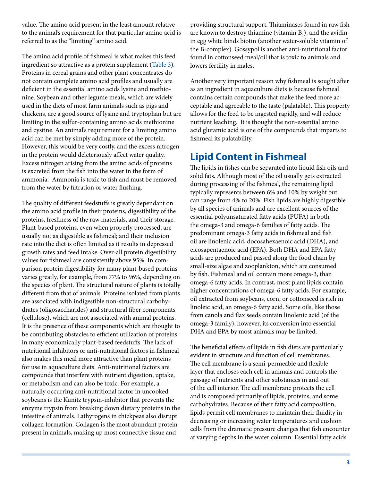value. The amino acid present in the least amount relative to the animal's requirement for that particular amino acid is referred to as the "limiting" amino acid.

The amino acid profile of fishmeal is what makes this feed ingredient so attractive as a protein supplement [\(Table 3](TABLE_3_DOCUMENT_FA122)). Proteins in cereal grains and other plant concentrates do not contain complete amino acid profiles and usually are deficient in the essential amino acids lysine and methionine. Soybean and other legume meals, which are widely used in the diets of most farm animals such as pigs and chickens, are a good source of lysine and tryptophan but are limiting in the sulfur-containing amino acids methionine and cystine. An animal's requirement for a limiting amino acid can be met by simply adding more of the protein. However, this would be very costly, and the excess nitrogen in the protein would deleteriously affect water quality. Excess nitrogen arising from the amino acids of proteins is excreted from the fish into the water in the form of ammonia. Ammonia is toxic to fish and must be removed from the water by filtration or water flushing.

The quality of different feedstuffs is greatly dependant on the amino acid profile in their proteins, digestibility of the proteins, freshness of the raw materials, and their storage. Plant-based proteins, even when properly processed, are usually not as digestible as fishmeal; and their inclusion rate into the diet is often limited as it results in depressed growth rates and feed intake. Over-all protein digestibility values for fishmeal are consistently above 95%. In comparison protein digestibility for many plant-based proteins varies greatly, for example, from 77% to 96%, depending on the species of plant. The structural nature of plants is totally different from that of animals. Proteins isolated from plants are associated with indigestible non-structural carbohydrates (oligosaccharides) and structural fiber components (cellulose), which are not associated with animal proteins. It is the presence of these components which are thought to be contributing obstacles to efficient utilization of proteins in many economically plant-based feedstuffs. The lack of nutritional inhibitors or anti-nutritional factors in fishmeal also makes this meal more attractive than plant proteins for use in aquaculture diets. Anti-nutritional factors are compounds that interfere with nutrient digestion, uptake, or metabolism and can also be toxic. For example, a naturally occurring anti-nutritional factor in uncooked soybeans is the Kunitz trypsin-inhibitor that prevents the enzyme trypsin from breaking down dietary proteins in the intestine of animals. Lathyrogens in chickpeas also disrupt collagen formation. Collagen is the most abundant protein present in animals, making up most connective tissue and

providing structural support. Thiaminases found in raw fish are known to destroy thiamine (vitamin  $B_1$ ), and the avidin in egg white binds biotin (another water-soluble vitamin of the B-complex). Gossypol is another anti-nutritional factor found in cottonseed meal/oil that is toxic to animals and lowers fertility in males.

Another very important reason why fishmeal is sought after as an ingredient in aquaculture diets is because fishmeal contains certain compounds that make the feed more acceptable and agreeable to the taste (palatable). This property allows for the feed to be ingested rapidly, and will reduce nutrient leaching. It is thought the non-essential amino acid glutamic acid is one of the compounds that imparts to fishmeal its palatability.

### **Lipid Content in Fishmeal**

The lipids in fishes can be separated into liquid fish oils and solid fats. Although most of the oil usually gets extracted during processing of the fishmeal, the remaining lipid typically represents between 6% and 10% by weight but can range from 4% to 20%. Fish lipids are highly digestible by all species of animals and are excellent sources of the essential polyunsaturated fatty acids (PUFA) in both the omega-3 and omega-6 families of fatty acids. The predominant omega-3 fatty acids in fishmeal and fish oil are linolenic acid, docosahexaenoic acid (DHA), and eicosapentaenoic acid (EPA). Both DHA and EPA fatty acids are produced and passed along the food chain by small-size algae and zooplankton, which are consumed by fish. Fishmeal and oil contain more omega-3, than omega-6 fatty acids. In contrast, most plant lipids contain higher concentrations of omega-6 fatty acids. For example, oil extracted from soybeans, corn, or cottonseed is rich in linoleic acid, an omega-6 fatty acid. Some oils, like those from canola and flax seeds contain linolenic acid (of the omega-3 family), however, its conversion into essential DHA and EPA by most animals may be limited.

The beneficial effects of lipids in fish diets are particularly evident in structure and function of cell membranes. The cell membrane is a semi-permeable and flexible layer that encloses each cell in animals and controls the passage of nutrients and other substances in and out of the cell interior. The cell membrane protects the cell and is composed primarily of lipids, proteins, and some carbohydrates. Because of their fatty acid composition, lipids permit cell membranes to maintain their fluidity in decreasing or increasing water temperatures and cushion cells from the dramatic pressure changes that fish encounter at varying depths in the water column. Essential fatty acids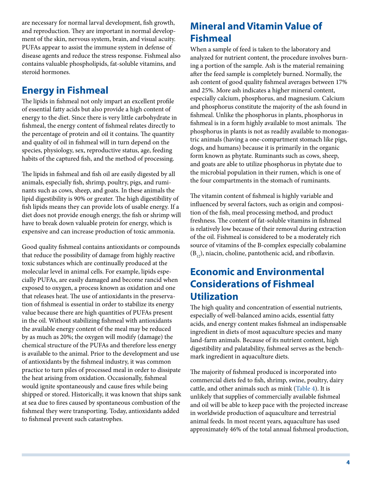are necessary for normal larval development, fish growth, and reproduction. They are important in normal development of the skin, nervous system, brain, and visual acuity. PUFAs appear to assist the immune system in defense of disease agents and reduce the stress response. Fishmeal also contains valuable phospholipids, fat-soluble vitamins, and steroid hormones.

## **Energy in Fishmeal**

The lipids in fishmeal not only impart an excellent profile of essential fatty acids but also provide a high content of energy to the diet. Since there is very little carbohydrate in fishmeal, the energy content of fishmeal relates directly to the percentage of protein and oil it contains. The quantity and quality of oil in fishmeal will in turn depend on the species, physiology, sex, reproductive status, age, feeding habits of the captured fish, and the method of processing.

The lipids in fishmeal and fish oil are easily digested by all animals, especially fish, shrimp, poultry, pigs, and ruminants such as cows, sheep, and goats. In these animals the lipid digestibility is 90% or greater. The high digestibility of fish lipids means they can provide lots of usable energy. If a diet does not provide enough energy, the fish or shrimp will have to break down valuable protein for energy, which is expensive and can increase production of toxic ammonia.

Good quality fishmeal contains antioxidants or compounds that reduce the possibility of damage from highly reactive toxic substances which are continually produced at the molecular level in animal cells. For example, lipids especially PUFAs, are easily damaged and become rancid when exposed to oxygen, a process known as oxidation and one that releases heat. The use of antioxidants in the preservation of fishmeal is essential in order to stabilize its energy value because there are high quantities of PUFAs present in the oil. Without stabilizing fishmeal with antioxidants the available energy content of the meal may be reduced by as much as 20%; the oxygen will modify (damage) the chemical structure of the PUFAs and therefore less energy is available to the animal. Prior to the development and use of antioxidants by the fishmeal industry, it was common practice to turn piles of processed meal in order to dissipate the heat arising from oxidation. Occasionally, fishmeal would ignite spontaneously and cause fires while being shipped or stored. Historically, it was known that ships sank at sea due to fires caused by spontaneous combustion of the fishmeal they were transporting. Today, antioxidants added to fishmeal prevent such catastrophes.

# **Mineral and Vitamin Value of Fishmeal**

When a sample of feed is taken to the laboratory and analyzed for nutrient content, the procedure involves burning a portion of the sample. Ash is the material remaining after the feed sample is completely burned. Normally, the ash content of good quality fishmeal averages between 17% and 25%. More ash indicates a higher mineral content, especially calcium, phosphorus, and magnesium. Calcium and phosphorus constitute the majority of the ash found in fishmeal. Unlike the phosphorus in plants, phosphorus in fishmeal is in a form highly available to most animals. The phosphorus in plants is not as readily available to monogastric animals (having a one-compartment stomach like pigs, dogs, and humans) because it is primarily in the organic form known as phytate. Ruminants such as cows, sheep, and goats are able to utilize phosphorus in phytate due to the microbial population in their rumen, which is one of the four compartments in the stomach of ruminants.

The vitamin content of fishmeal is highly variable and influenced by several factors, such as origin and composition of the fish, meal processing method, and product freshness. The content of fat-soluble vitamins in fishmeal is relatively low because of their removal during extraction of the oil. Fishmeal is considered to be a moderately rich source of vitamins of the B-complex especially cobalamine  $(B_{12})$ , niacin, choline, pantothenic acid, and riboflavin.

## **Economic and Environmental Considerations of Fishmeal Utilization**

The high quality and concentration of essential nutrients, especially of well-balanced amino acids, essential fatty acids, and energy content makes fishmeal an indispensable ingredient in diets of most aquaculture species and many land-farm animals. Because of its nutrient content, high digestibility and palatability, fishmeal serves as the benchmark ingredient in aquaculture diets.

The majority of fishmeal produced is incorporated into commercial diets fed to fish, shrimp, swine, poultry, dairy cattle, and other animals such as mink [\(Table 4\)](TABLE_4_DOCUMENT_FA122). It is unlikely that supplies of commercially available fishmeal and oil will be able to keep pace with the projected increase in worldwide production of aquaculture and terrestrial animal feeds. In most recent years, aquaculture has used approximately 46% of the total annual fishmeal production,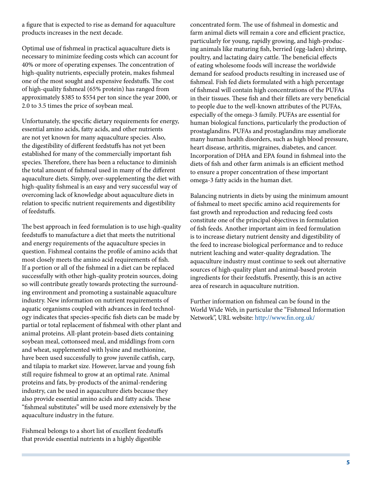a figure that is expected to rise as demand for aquaculture products increases in the next decade.

Optimal use of fishmeal in practical aquaculture diets is necessary to minimize feeding costs which can account for 40% or more of operating expenses. The concentration of high-quality nutrients, especially protein, makes fishmeal one of the most sought and expensive feedstuffs. The cost of high-quality fishmeal (65% protein) has ranged from approximately \$385 to \$554 per ton since the year 2000, or 2.0 to 3.5 times the price of soybean meal.

Unfortunately, the specific dietary requirements for energy, essential amino acids, fatty acids, and other nutrients are not yet known for many aquaculture species. Also, the digestibility of different feedstuffs has not yet been established for many of the commercially important fish species. Therefore, there has been a reluctance to diminish the total amount of fishmeal used in many of the different aquaculture diets. Simply, over-supplementing the diet with high-quality fishmeal is an easy and very successful way of overcoming lack of knowledge about aquaculture diets in relation to specific nutrient requirements and digestibility of feedstuffs.

The best approach in feed formulation is to use high-quality feedstuffs to manufacture a diet that meets the nutritional and energy requirements of the aquaculture species in question. Fishmeal contains the profile of amino acids that most closely meets the amino acid requirements of fish. If a portion or all of the fishmeal in a diet can be replaced successfully with other high-quality protein sources, doing so will contribute greatly towards protecting the surrounding environment and promoting a sustainable aquaculture industry. New information on nutrient requirements of aquatic organisms coupled with advances in feed technology indicates that species-specific fish diets can be made by partial or total replacement of fishmeal with other plant and animal proteins. All-plant protein-based diets containing soybean meal, cottonseed meal, and middlings from corn and wheat, supplemented with lysine and methionine, have been used successfully to grow juvenile catfish, carp, and tilapia to market size. However, larvae and young fish still require fishmeal to grow at an optimal rate. Animal proteins and fats, by-products of the animal-rendering industry, can be used in aquaculture diets because they also provide essential amino acids and fatty acids. These "fishmeal substitutes" will be used more extensively by the aquaculture industry in the future.

Fishmeal belongs to a short list of excellent feedstuffs that provide essential nutrients in a highly digestible

concentrated form. The use of fishmeal in domestic and farm animal diets will remain a core and efficient practice, particularly for young, rapidly growing, and high-producing animals like maturing fish, berried (egg-laden) shrimp, poultry, and lactating dairy cattle. The beneficial effects of eating wholesome foods will increase the worldwide demand for seafood products resulting in increased use of fishmeal. Fish fed diets formulated with a high percentage of fishmeal will contain high concentrations of the PUFAs in their tissues. These fish and their fillets are very beneficial to people due to the well-known attributes of the PUFAs, especially of the omega-3 family. PUFAs are essential for human biological functions, particularly the production of prostaglandins. PUFAs and prostaglandins may ameliorate many human health disorders, such as high blood pressure, heart disease, arthritis, migraines, diabetes, and cancer. Incorporation of DHA and EPA found in fishmeal into the diets of fish and other farm animals is an efficient method to ensure a proper concentration of these important omega-3 fatty acids in the human diet.

Balancing nutrients in diets by using the minimum amount of fishmeal to meet specific amino acid requirements for fast growth and reproduction and reducing feed costs constitute one of the principal objectives in formulation of fish feeds. Another important aim in feed formulation is to increase dietary nutrient density and digestibility of the feed to increase biological performance and to reduce nutrient leaching and water-quality degradation. The aquaculture industry must continue to seek out alternative sources of high-quality plant and animal-based protein ingredients for their feedstuffs. Presently, this is an active area of research in aquaculture nutrition.

Further information on fishmeal can be found in the World Wide Web, in particular the "Fishmeal Information Network", URL website: <http://www.fin.org.uk/>